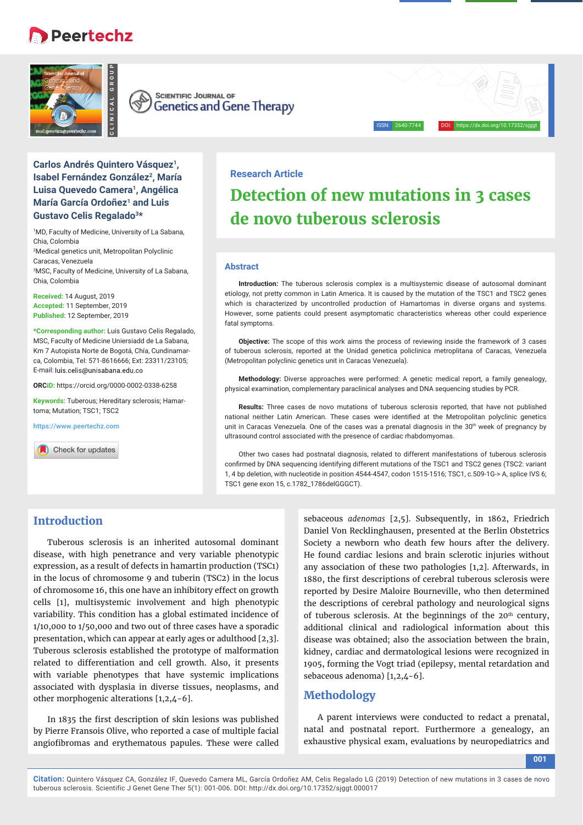# **Peertechz**





## **Carlos Andrés Quintero Vásquez<sup>1</sup>, Isabel Fernández González<sup>2</sup>, María Luisa Quevedo Camera1, Angélica María García Ordoñez1 and Luis Gustavo Celis Regalado3\***

1 MD, Faculty of Medicine, University of La Sabana, Chia, Colombia 2 Medical genetics unit, Metropolitan Polyclinic Caracas, Venezuela 3 MSC, Faculty of Medicine, University of La Sabana, Chia, Colombia

**Received:** 14 August, 2019 **Accepted:** 11 September, 2019 **Published:** 12 September, 2019

**\*Corresponding author:** Luis Gustavo Celis Regalado, MSC, Faculty of Medicine Uniersiadd de La Sabana, Km 7 Autopista Norte de Bogotá, Chía, Cundinamarca, Colombia, Tel: 571-8616666; Ext: 23311/23105; E-mail: luis.celis@unisabana.edu.co

**ORCiD:** https://orcid.org/0000-0002-0338-6258

**Keywords:** Tuberous; Hereditary sclerosis; Hamartoma; Mutation; TSC1; TSC2

**https://www.peertechz.com**

# **Research Article Detection of new mutations in 3 cases de novo tuberous sclerosis**

ISSN: 2640-7744 DOI: https://dx.doi.org/10.17352/sjggt

#### **Abstract**

**Introduction:** The tuberous sclerosis complex is a multisystemic disease of autosomal dominant etiology, not pretty common in Latin America. It is caused by the mutation of the TSC1 and TSC2 genes which is characterized by uncontrolled production of Hamartomas in diverse organs and systems. However, some patients could present asymptomatic characteristics whereas other could experience fatal symptoms.

**Objective:** The scope of this work aims the process of reviewing inside the framework of 3 cases of tuberous sclerosis, reported at the Unidad genetica policlinica metroplitana of Caracas, Venezuela (Metropolitan polyclinic genetics unit in Caracas Venezuela).

**Methodology:** Diverse approaches were performed: A genetic medical report, a family genealogy, physical examination, complementary paraclinical analyses and DNA sequencing studies by PCR.

**Results:** Three cases de novo mutations of tuberous sclerosis reported, that have not published national neither Latin American. These cases were identified at the Metropolitan polyclinic genetics unit in Caracas Venezuela. One of the cases was a prenatal diagnosis in the 30<sup>th</sup> week of pregnancy by ultrasound control associated with the presence of cardiac rhabdomyomas.

Other two cases had postnatal diagnosis, related to different manifestations of tuberous sclerosis confirmed by DNA sequencing identifying different mutations of the TSC1 and TSC2 genes (TSC2: variant 1, 4 bp deletion, with nucleotide in position 4544-4547, codon 1515-1516; TSC1, c.509-1G-> A, splice IVS 6; TSC1 gene exon 15, c.1782\_1786delGGGCT).

# **Introduction**

The contract of the contract of the contract of the contract of the contract of the contract of the contract of the contract of the contract of the contract of the contract of the contract of the contract of the contract o Tuberous sclerosis is an inherited autosomal dominant disease, with high penetrance and very variable phenotypic expression, as a result of defects in hamartin production (TSC1) in the locus of chromosome 9 and tuberin (TSC2) in the locus of chromosome 16, this one have an inhibitory effect on growth cells [1], multisystemic involvement and high phenotypic variability. This condition has a global estimated incidence of 1/10,000 to 1/50,000 and two out of three cases have a sporadic presentation, which can appear at early ages or adulthood [2,3]. Tuberous sclerosis established the prototype of malformation related to differentiation and cell growth. Also, it presents with variable phenotypes that have systemic implications associated with dysplasia in diverse tissues, neoplasms, and other morphogenic alterations [1,2,4-6].

In 1835 the first description of skin lesions was published by Pierre Fransois Olive, who reported a case of multiple facial angiofibromas and erythematous papules. These were called sebaceous *adenomas* [2,5]. Subsequently, in 1862, Friedrich Daniel Von Recklinghausen, presented at the Berlin Obstetrics Society a newborn who death few hours after the delivery. He found cardiac lesions and brain sclerotic injuries without any association of these two pathologies [1,2]. Afterwards, in 1880, the first descriptions of cerebral tuberous sclerosis were reported by Desire Maloire Bourneville, who then determined the descriptions of cerebral pathology and neurological signs of tuberous sclerosis. At the beginnings of the 20<sup>th</sup> century, additional clinical and radiological information about this disease was obtained; also the association between the brain, kidney, cardiac and dermatological lesions were recognized in 1905, forming the Vogt triad (epilepsy, mental retardation and sebaceous adenoma) [1,2,4-6].

## **Methodology**

A parent interviews were conducted to redact a prenatal, natal and postnatal report. Furthermore a genealogy, an exhaustive physical exam, evaluations by neuropediatrics and

**001**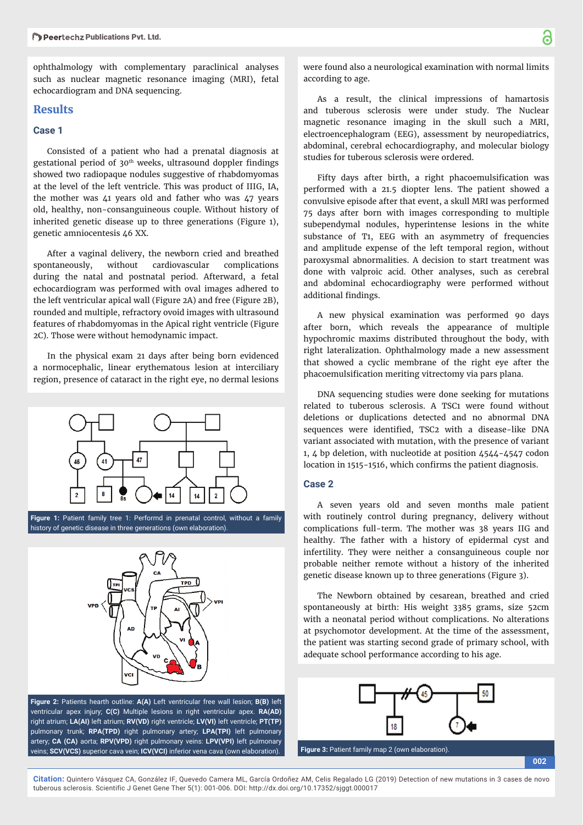ophthalmology with complementary paraclinical analyses such as nuclear magnetic resonance imaging (MRI), fetal echocardiogram and DNA sequencing.

### **Results**

## **Case 1**

Consisted of a patient who had a prenatal diagnosis at gestational period of 30<sup>th</sup> weeks, ultrasound doppler findings showed two radiopaque nodules suggestive of rhabdomyomas at the level of the left ventricle. This was product of IIIG, IA, the mother was 41 years old and father who was 47 years old, healthy, non-consanguineous couple. Without history of inherited genetic disease up to three generations (Figure 1), genetic amniocentesis 46 XX.

After a vaginal delivery, the newborn cried and breathed spontaneously, without cardiovascular complications during the natal and postnatal period. Afterward, a fetal echocardiogram was performed with oval images adhered to the left ventricular apical wall (Figure 2A) and free (Figure 2B), rounded and multiple, refractory ovoid images with ultrasound features of rhabdomyomas in the Apical right ventricle (Figure 2C). Those were without hemodynamic impact.

In the physical exam 21 days after being born evidenced a normocephalic, linear erythematous lesion at interciliary region, presence of cataract in the right eye, no dermal lesions



**Figure 1:** Patient family tree 1: Performd in prenatal control, without a family history of genetic disease in three generations (own elaboration).



**Figure 2:** Patients hearth outline: **A(A)** Left ventricular free wall lesion; **B(B)** left ventricular apex injury; **C(C)** Multiple lesions in right ventricular apex. **RA(AD)** right atrium; **LA(AI)** left atrium; **RV(VD)** right ventricle; **LV(VI)** left ventricle; **PT(TP)** pulmonary trunk; **RPA(TPD)** right pulmonary artery; **LPA(TPI)** left pulmonary artery; **CA (CA)** aorta; **RPV(VPD)** right pulmonary veins: **LPV(VPI)** left pulmonary veins; **SCV(VCS)** superior cava vein; **ICV(VCI)** inferior vena cava (own elaboration). **Figure 3:** Patient family map 2 (own elaboration).

were found also a neurological examination with normal limits according to age.

As a result, the clinical impressions of hamartosis and tuberous sclerosis were under study. The Nuclear magnetic resonance imaging in the skull such a MRI, electroencephalogram (EEG), assessment by neuropediatrics, abdominal, cerebral echocardiography, and molecular biology studies for tuberous sclerosis were ordered.

Fifty days after birth, a right phacoemulsification was performed with a 21.5 diopter lens. The patient showed a convulsive episode after that event, a skull MRI was performed 75 days after born with images corresponding to multiple subependymal nodules, hyperintense lesions in the white substance of T1, EEG with an asymmetry of frequencies and amplitude expense of the left temporal region, without paroxysmal abnormalities. A decision to start treatment was done with valproic acid. Other analyses, such as cerebral and abdominal echocardiography were performed without additional findings.

A new physical examination was performed 90 days after born, which reveals the appearance of multiple hypochromic maxims distributed throughout the body, with right lateralization. Ophthalmology made a new assessment that showed a cyclic membrane of the right eye after the phacoemulsification meriting vitrectomy via pars plana.

DNA sequencing studies were done seeking for mutations related to tuberous sclerosis. A TSC1 were found without deletions or duplications detected and no abnormal DNA sequences were identified, TSC2 with a disease-like DNA variant associated with mutation, with the presence of variant 1, 4 bp deletion, with nucleotide at position 4544-4547 codon location in 1515-1516, which confirms the patient diagnosis.

#### **Case 2**

A seven years old and seven months male patient with routinely control during pregnancy, delivery without complications full-term. The mother was 38 years IIG and healthy. The father with a history of epidermal cyst and infertility. They were neither a consanguineous couple nor probable neither remote without a history of the inherited genetic disease known up to three generations (Figure 3).

The Newborn obtained by cesarean, breathed and cried spontaneously at birth: His weight 3385 grams, size 52cm with a neonatal period without complications. No alterations at psychomotor development. At the time of the assessment, the patient was starting second grade of primary school, with adequate school performance according to his age.



**002**

**Citation:** Quintero Vásquez CA, González IF, Quevedo Camera ML, García Ordoñez AM, Celis Regalado LG (2019) Detection of new mutations in 3 cases de novo tuberous sclerosis. Scientific J Genet Gene Ther 5(1): 001-006. DOI: http://dx.doi.org/10.17352/sjggt.000017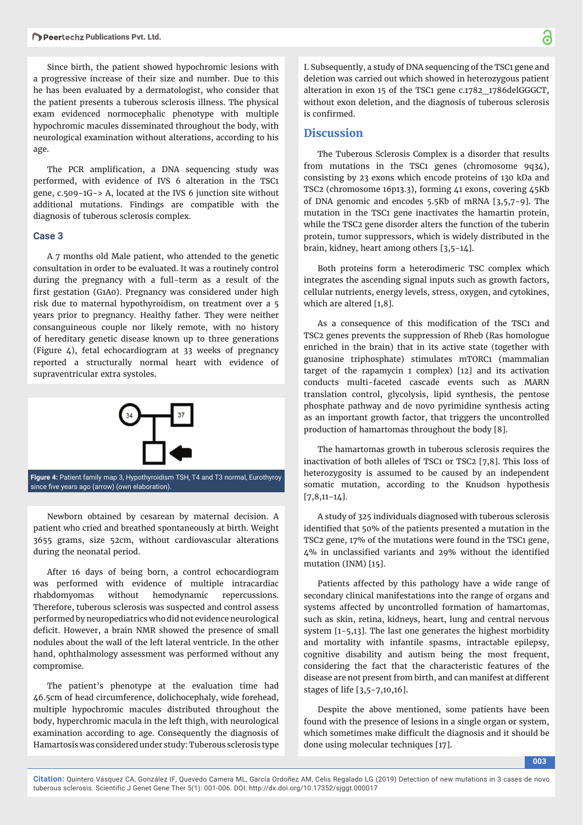Since birth, the patient showed hypochromic lesions with a progressive increase of their size and number. Due to this he has been evaluated by a dermatologist, who consider that the patient presents a tuberous sclerosis illness. The physical exam evidenced normocephalic phenotype with multiple hypochromic macules disseminated throughout the body, with neurological examination without alterations, according to his age.

The PCR amplification, a DNA sequencing study was performed, with evidence of IVS 6 alteration in the TSC1 gene, c.509-1G-> A, located at the IVS 6 junction site without additional mutations. Findings are compatible with the diagnosis of tuberous sclerosis complex.

#### **Case 3**

A 7 months old Male patient, who attended to the genetic consultation in order to be evaluated. It was a routinely control during the pregnancy with a full-term as a result of the first gestation (G1A0). Pregnancy was considered under high risk due to maternal hypothyroidism, on treatment over a 5 years prior to pregnancy. Healthy father. They were neither consanguineous couple nor likely remote, with no history of hereditary genetic disease known up to three generations (Figure 4), fetal echocardiogram at 33 weeks of pregnancy reported a structurally normal heart with evidence of supraventricular extra systoles.



Newborn obtained by cesarean by maternal decision. A patient who cried and breathed spontaneously at birth. Weight 3655 grams, size 52cm, without cardiovascular alterations during the neonatal period.

After 16 days of being born, a control echocardiogram was performed with evidence of multiple intracardiac rhabdomyomas without hemodynamic repercussions. Therefore, tuberous sclerosis was suspected and control assess performed by neuropediatrics who did not evidence neurological deficit. However, a brain NMR showed the presence of small nodules about the wall of the left lateral ventricle. In the other hand, ophthalmology assessment was performed without any compromise.

The patient's phenotype at the evaluation time had 46.5cm of head circumference, dolichocephaly, wide forehead, multiple hypochromic macules distributed throughout the body, hyperchromic macula in the left thigh, with neurological examination according to age. Consequently the diagnosis of Hamartosis was considered under study: Tuberous sclerosis type

I. Subsequently, a study of DNA sequencing of the TSC1 gene and deletion was carried out which showed in heterozygous patient alteration in exon 15 of the TSC1 gene c.1782\_1786delGGGCT, without exon deletion, and the diagnosis of tuberous sclerosis is confirmed.

#### **Discussion**

The Tuberous Sclerosis Complex is a disorder that results from mutations in the TSC1 genes (chromosome 9q34), consisting by 23 exons which encode proteins of 130 kDa and TSC2 (chromosome 16p13.3), forming 41 exons, covering 45Kb of DNA genomic and encodes 5.5Kb of mRNA [3,5,7-9]. The mutation in the TSC1 gene inactivates the hamartin protein, while the TSC2 gene disorder alters the function of the tuberin protein, tumor suppressors, which is widely distributed in the brain, kidney, heart among others [3,5-14].

Both proteins form a heterodimeric TSC complex which integrates the ascending signal inputs such as growth factors, cellular nutrients, energy levels, stress, oxygen, and cytokines, which are altered [1,8].

As a consequence of this modification of the TSC1 and TSC2 genes prevents the suppression of Rheb (Ras homologue enriched in the brain) that in its active state (together with guanosine triphosphate) stimulates mTORC1 (mammalian target of the rapamycin 1 complex) [12] and its activation conducts multi-faceted cascade events such as MARN translation control, glycolysis, lipid synthesis, the pentose phosphate pathway and de novo pyrimidine synthesis acting as an important growth factor, that triggers the uncontrolled production of hamartomas throughout the body [8].

The hamartomas growth in tuberous sclerosis requires the inactivation of both alleles of TSC1 or TSC2 [7,8]. This loss of heterozygosity is assumed to be caused by an independent somatic mutation, according to the Knudson hypothesis  $[7,8,11-14]$ .

A study of 325 individuals diagnosed with tuberous sclerosis identified that 50% of the patients presented a mutation in the TSC2 gene, 17% of the mutations were found in the TSC1 gene,  $4\%$  in unclassified variants and 29% without the identified mutation (INM) [15].

Patients affected by this pathology have a wide range of secondary clinical manifestations into the range of organs and systems affected by uncontrolled formation of hamartomas, such as skin, retina, kidneys, heart, lung and central nervous system [1-5,13]. The last one generates the highest morbidity and mortality with infantile spasms, intractable epilepsy, cognitive disability and autism being the most frequent, considering the fact that the characteristic features of the disease are not present from birth, and can manifest at different stages of life [3,5-7,10,16].

Despite the above mentioned, some patients have been found with the presence of lesions in a single organ or system, which sometimes make difficult the diagnosis and it should be done using molecular techniques [17].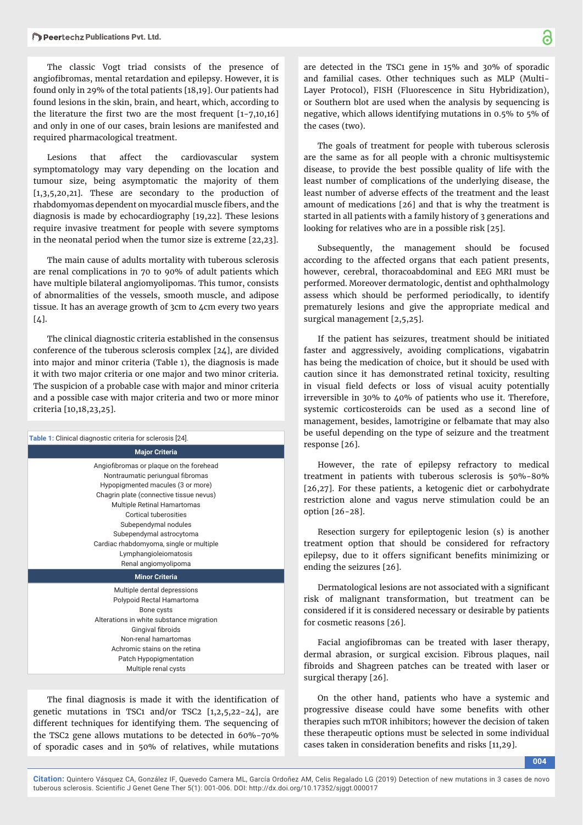The classic Vogt triad consists of the presence of angiofibromas, mental retardation and epilepsy. However, it is found only in 29% of the total patients [18,19]. Our patients had found lesions in the skin, brain, and heart, which, according to the literature the first two are the most frequent  $[1-7,10,16]$ and only in one of our cases, brain lesions are manifested and required pharmacological treatment.

Lesions that affect the cardiovascular system symptomatology may vary depending on the location and tumour size, being asymptomatic the majority of them [1,3,5,20,21]. These are secondary to the production of rhabdomyomas dependent on myocardial muscle fibers, and the diagnosis is made by echocardiography [19,22]. These lesions require invasive treatment for people with severe symptoms in the neonatal period when the tumor size is extreme [22,23].

The main cause of adults mortality with tuberous sclerosis are renal complications in 70 to 90% of adult patients which have multiple bilateral angiomyolipomas. This tumor, consists of abnormalities of the vessels, smooth muscle, and adipose tissue. It has an average growth of 3cm to 4cm every two years  $[4]$ .

The clinical diagnostic criteria established in the consensus conference of the tuberous sclerosis complex [24], are divided into major and minor criteria (Table 1), the diagnosis is made it with two major criteria or one major and two minor criteria. The suspicion of a probable case with major and minor criteria and a possible case with major criteria and two or more minor criteria [10,18,23,25].

| <b>Table 1:</b> Clinical diagnostic criteria for sclerosis [24].                                                                                                                                                                                                                                                                                                           |
|----------------------------------------------------------------------------------------------------------------------------------------------------------------------------------------------------------------------------------------------------------------------------------------------------------------------------------------------------------------------------|
| <b>Major Criteria</b>                                                                                                                                                                                                                                                                                                                                                      |
| Angiofibromas or plaque on the forehead<br>Nontraumatic periungual fibromas<br>Hypopigmented macules (3 or more)<br>Chagrin plate (connective tissue nevus)<br><b>Multiple Retinal Hamartomas</b><br>Cortical tuberosities<br>Subependymal nodules<br>Subependymal astrocytoma<br>Cardiac rhabdomyoma, single or multiple<br>Lymphangioleiomatosis<br>Renal angiomyolipoma |
| <b>Minor Criteria</b>                                                                                                                                                                                                                                                                                                                                                      |
| Multiple dental depressions<br>Polypoid Rectal Hamartoma<br>Bone cysts<br>Alterations in white substance migration<br>Gingival fibroids<br>Non-renal hamartomas<br>Achromic stains on the retina<br>Patch Hypopigmentation<br>Multiple renal cysts                                                                                                                         |
|                                                                                                                                                                                                                                                                                                                                                                            |

The final diagnosis is made it with the identification of genetic mutations in TSC1 and/or TSC2  $[1,2,5,22-24]$ , are different techniques for identifying them. The sequencing of the TSC2 gene allows mutations to be detected in 60%-70% of sporadic cases and in 50% of relatives, while mutations

are detected in the TSC1 gene in 15% and 30% of sporadic and familial cases. Other techniques such as MLP (Multi-Layer Protocol), FISH (Fluorescence in Situ Hybridization), or Southern blot are used when the analysis by sequencing is negative, which allows identifying mutations in 0.5% to 5% of the cases (two).

The goals of treatment for people with tuberous sclerosis are the same as for all people with a chronic multisystemic disease, to provide the best possible quality of life with the least number of complications of the underlying disease, the least number of adverse effects of the treatment and the least amount of medications [26] and that is why the treatment is started in all patients with a family history of 3 generations and looking for relatives who are in a possible risk [25].

Subsequently, the management should be focused according to the affected organs that each patient presents, however, cerebral, thoracoabdominal and EEG MRI must be performed. Moreover dermatologic, dentist and ophthalmology assess which should be performed periodically, to identify prematurely lesions and give the appropriate medical and surgical management [2,5,25].

If the patient has seizures, treatment should be initiated faster and aggressively, avoiding complications, vigabatrin has being the medication of choice, but it should be used with caution since it has demonstrated retinal toxicity, resulting in visual field defects or loss of visual acuity potentially irreversible in 30% to 40% of patients who use it. Therefore, systemic corticosteroids can be used as a second line of management, besides, lamotrigine or felbamate that may also be useful depending on the type of seizure and the treatment response [26].

However, the rate of epilepsy refractory to medical treatment in patients with tuberous sclerosis is 50%-80% [26,27]. For these patients, a ketogenic diet or carbohydrate restriction alone and vagus nerve stimulation could be an option [26-28].

Resection surgery for epileptogenic lesion (s) is another treatment option that should be considered for refractory epilepsy, due to it offers significant benefits minimizing or ending the seizures [26].

Dermatological lesions are not associated with a significant risk of malignant transformation, but treatment can be considered if it is considered necessary or desirable by patients for cosmetic reasons [26].

Facial angiofibromas can be treated with laser therapy, dermal abrasion, or surgical excision. Fibrous plaques, nail fibroids and Shagreen patches can be treated with laser or surgical therapy [26].

On the other hand, patients who have a systemic and progressive disease could have some benefits with other therapies such mTOR inhibitors; however the decision of taken these therapeutic options must be selected in some individual cases taken in consideration benefits and risks [11,29].

**004**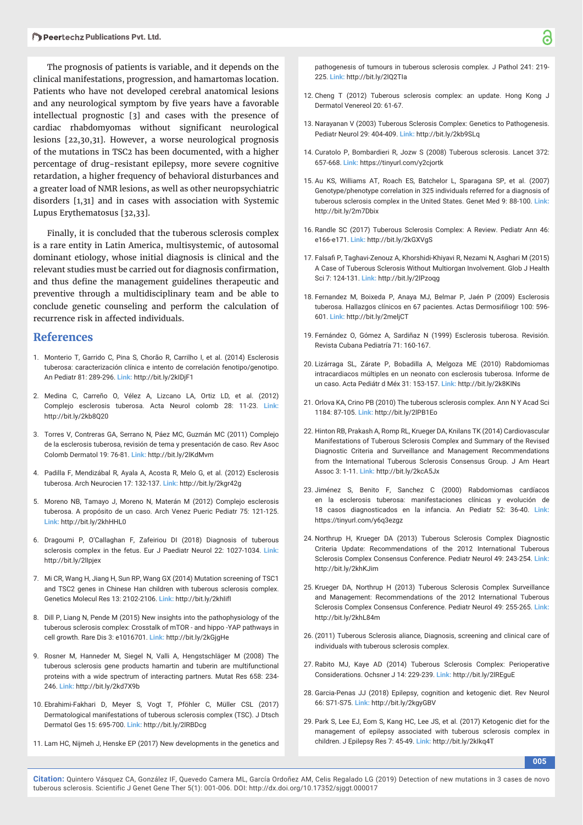The prognosis of patients is variable, and it depends on the clinical manifestations, progression, and hamartomas location. Patients who have not developed cerebral anatomical lesions and any neurological symptom by five years have a favorable intellectual prognostic [3] and cases with the presence of cardiac rhabdomyomas without significant neurological lesions [22,30,31]. However, a worse neurological prognosis of the mutations in TSC2 has been documented, with a higher percentage of drug-resistant epilepsy, more severe cognitive retardation, a higher frequency of behavioral disturbances and a greater load of NMR lesions, as well as other neuropsychiatric disorders [1,31] and in cases with association with Systemic Lupus Erythematosus [32,33].

Finally, it is concluded that the tuberous sclerosis complex is a rare entity in Latin America, multisystemic, of autosomal dominant etiology, whose initial diagnosis is clinical and the relevant studies must be carried out for diagnosis confirmation, and thus define the management guidelines therapeutic and preventive through a multidisciplinary team and be able to conclude genetic counseling and perform the calculation of recurrence risk in affected individuals.

## **References**

- 1. Monterio T, Garrido C, Pina S, Chorão R, Carrilho I, et al. (2014) Esclerosis tuberosa: caracterización clínica e intento de correlación fenotipo/genotipo. An Pediatr 81: 289-296. **Link:** http://bit.ly/2kIDjF1
- 2. Medina C, Carreño O, Vélez A, Lizcano LA, Ortiz LD, et al. (2012) Complejo esclerosis tuberosa. Acta Neurol colomb 28: 11-23. **Link:** http://bit.ly/2kb8Q20
- 3. Torres V, Contreras GA, Serrano N, Páez MC, Guzmán MC (2011) Complejo de la esclerosis tuberosa, revisión de tema y presentación de caso. Rev Asoc Colomb Dermatol 19: 76-81. **Link:** http://bit.ly/2lKdMvm
- 4. Padilla F, Mendizábal R, Ayala A, Acosta R, Melo G, et al. (2012) Esclerosis tuberosa. Arch Neurocien 17: 132-137. **Link:** http://bit.ly/2kgr42g
- 5. Moreno NB, Tamayo J, Moreno N, Materán M (2012) Complejo esclerosis tuberosa. A propósito de un caso. Arch Venez Pueric Pediatr 75: 121-125. **Link:** http://bit.ly/2khHHL0
- 6. Dragoumi P, O'Callaghan F, Zafeiriou DI (2018) Diagnosis of tuberous sclerosis complex in the fetus. Eur J Paediatr Neurol 22: 1027-1034. **Link:** http://bit.ly/2lIpjex
- 7. Mi CR, Wang H, Jiang H, Sun RP, Wang GX (2014) Mutation screening of TSC1 and TSC2 genes in Chinese Han children with tuberous sclerosis complex. Genetics Molecul Res 13: 2102-2106. **Link:** http://bit.ly/2khIifI
- 8. Dill P, Liang N, Pende M (2015) New insights into the pathophysiology of the tuberous sclerosis complex: Crosstalk of mTOR - and hippo -YAP pathways in cell growth. Rare Dis 3: e1016701. **Link:** http://bit.ly/2kGjgHe
- 9. Rosner M, Hanneder M, Siegel N, Valli A, Hengstschläger M (2008) The tuberous sclerosis gene products hamartin and tuberin are multifunctional proteins with a wide spectrum of interacting partners. Mutat Res 658: 234- 246. **Link:** http://bit.ly/2kd7X9b
- 10. Ebrahimi-Fakhari D, Meyer S, Vogt T, Pföhler C, Müller CSL (2017) Dermatological manifestations of tuberous sclerosis complex (TSC). J Dtsch Dermatol Ges 15: 695-700. **Link:** http://bit.ly/2lRBDcg
- 11. Lam HC, Nijmeh J, Henske EP (2017) New developments in the genetics and

pathogenesis of tumours in tuberous sclerosis complex. J Pathol 241: 219- 225. **Link:** http://bit.ly/2lQ2TIa

- 12. Cheng T (2012) Tuberous sclerosis complex: an update. Hong Kong J Dermatol Venereol 20: 61-67.
- 13. Narayanan V (2003) Tuberous Sclerosis Complex: Genetics to Pathogenesis. Pediatr Neurol 29: 404-409. **Link:** http://bit.ly/2kb9SLq
- 14. Curatolo P, Bombardieri R, Jozw S (2008) Tuberous sclerosis. Lancet 372: 657-668. **Link:** https://tinyurl.com/y2cjortk
- 15. Au KS, Williams AT, Roach ES, Batchelor L, Sparagana SP, et al. (2007) Genotype/phenotype correlation in 325 individuals referred for a diagnosis of tuberous sclerosis complex in the United States. Genet Med 9: 88-100. **Link:** http://bit.ly/2m7Dbix
- 16. Randle SC (2017) Tuberous Sclerosis Complex: A Review. Pediatr Ann 46: e166-e171. **Link:** http://bit.ly/2kGXVgS
- 17. Falsafi P, Taghavi-Zenouz A, Khorshidi-Khiyavi R, Nezami N, Asghari M (2015) A Case of Tuberous Sclerosis Without Multiorgan Involvement. Glob J Health Sci 7: 124-131. **Link:** http://bit.ly/2lPzoqg
- 18. Fernandez M, Boixeda P, Anaya MJ, Belmar P, Jaén P (2009) Esclerosis tuberosa. Hallazgos clínicos en 67 pacientes. Actas Dermosifiliogr 100: 596-601. **Link:** http://bit.ly/2meljCT
- 19. Fernández O, Gómez A, Sardiñaz N (1999) Esclerosis tuberosa. Revisión. Revista Cubana Pediatría 71: 160-167.
- 20. Lizárraga SL, Zárate P, Bobadilla A, Melgoza ME (2010) Rabdomiomas intracardiacos múltiples en un neonato con esclerosis tuberosa. Informe de un caso. Acta Pediátr d Méx 31: 153-157. **Link:** http://bit.ly/2k8KINs
- 21. Orlova KA, Crino PB (2010) The tuberous sclerosis complex. Ann N Y Acad Sci 1184: 87-105. **Link:** http://bit.ly/2lPB1Eo
- 22. Hinton RB, Prakash A, Romp RL, Krueger DA, Knilans TK (2014) Cardiovascular Manifestations of Tuberous Sclerosis Complex and Summary of the Revised Diagnostic Criteria and Surveillance and Management Recommendations from the International Tuberous Sclerosis Consensus Group. J Am Heart Assoc 3: 1-11. **Link:** http://bit.ly/2kcA5Jx
- 23. Jiménez S, Benito F, Sanchez C (2000) Rabdomiomas cardíacos en la esclerosis tuberosa: manifestaciones clínicas y evolución de 18 casos diagnosticados en la infancia. An Pediatr 52: 36-40. **Link:** https://tinyurl.com/y6q3ezgz
- 24. Northrup H, Krueger DA (2013) Tuberous Sclerosis Complex Diagnostic Criteria Update: Recommendations of the 2012 International Tuberous Sclerosis Complex Consensus Conference. Pediatr Neurol 49: 243-254. **Link:** http://bit.ly/2khKJim
- 25. Krueger DA, Northrup H (2013) Tuberous Sclerosis Complex Surveillance and Management: Recommendations of the 2012 International Tuberous Sclerosis Complex Consensus Conference. Pediatr Neurol 49: 255-265. **Link:** http://bit.ly/2khL84m
- 26. (2011) Tuberous Sclerosis aliance, Diagnosis, screening and clinical care of individuals with tuberous sclerosis complex.
- 27. Rabito MJ, Kaye AD (2014) Tuberous Sclerosis Complex: Perioperative Considerations. Ochsner J 14: 229-239. **Link:** http://bit.ly/2lREguE
- 28. Garcia-Penas JJ (2018) Epilepsy, cognition and ketogenic diet. Rev Neurol 66: S71-S75. **Link:** http://bit.ly/2kgyGBV
- 29. Park S, Lee EJ, Eom S, Kang HC, Lee JS, et al. (2017) Ketogenic diet for the management of epilepsy associated with tuberous sclerosis complex in children. J Epilepsy Res 7: 45-49. **Link:** http://bit.ly/2kIkq4T

**005**

**Citation:** Quintero Vásquez CA, González IF, Quevedo Camera ML, García Ordoñez AM, Celis Regalado LG (2019) Detection of new mutations in 3 cases de novo tuberous sclerosis. Scientific J Genet Gene Ther 5(1): 001-006. DOI: http://dx.doi.org/10.17352/sjggt.000017